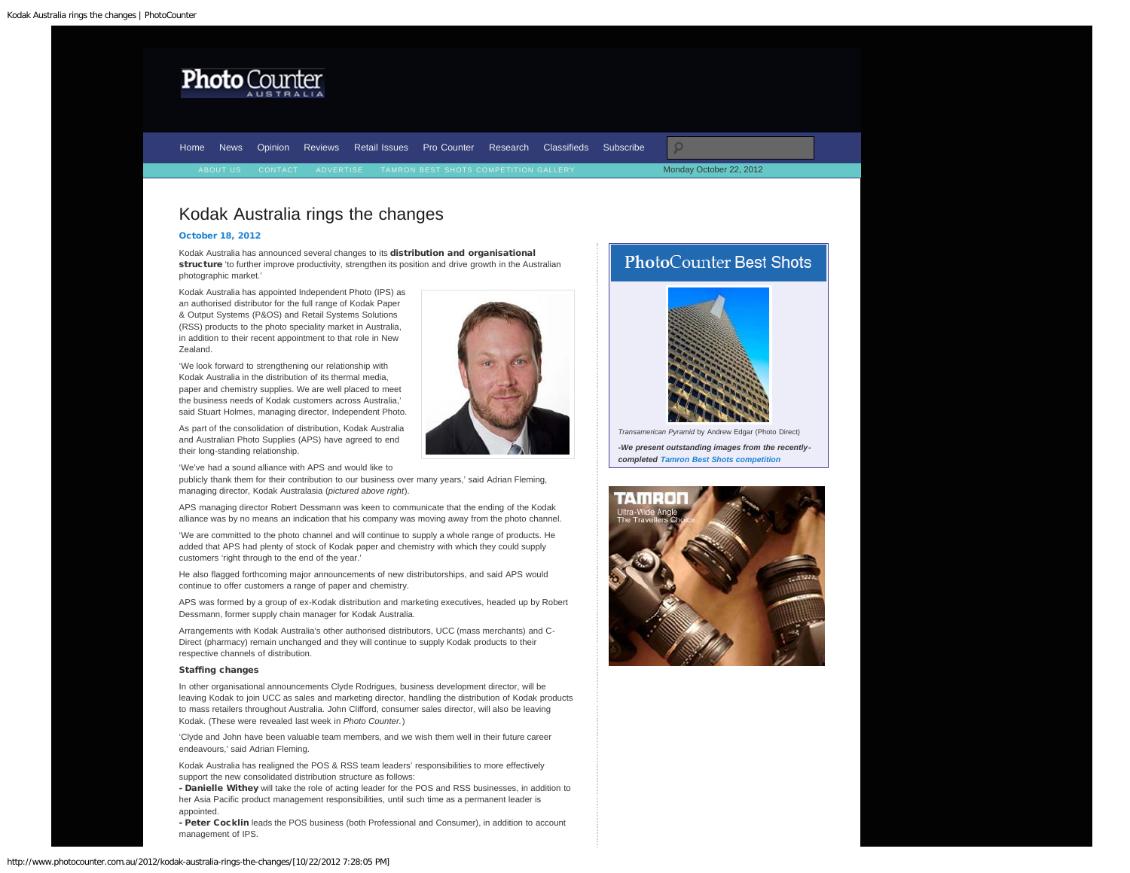<span id="page-0-0"></span>

[Home](http://www.photocounter.com.au/) [News](http://www.photocounter.com.au/category/news/) [Opinion](http://www.photocounter.com.au/category/opinion/) [Reviews](http://www.photoreview.com.au/reviews/) [Retail Issues](http://www.photocounter.com.au/category/retail-issues/) [Pro Counter](http://www.photocounter.com.au/category/pro-counter/) [Research](http://www.photocounter.com.au/category/research/) [Classifieds](http://www.photocounter.com.au/category/classifieds/) [Subscribe](http://www.photocounter.com.au/subscribe/)

Monday October 22, 2012

# Kodak Australia rings the changes

# [October 18, 2012](#page-0-0)

Kodak Australia has announced several changes to its distribution and organisational structure 'to further improve productivity, strengthen its position and drive growth in the Australian photographic market.'

Kodak Australia has appointed Independent Photo (IPS) as an authorised distributor for the full range of Kodak Paper & Output Systems (P&OS) and Retail Systems Solutions (RSS) products to the photo speciality market in Australia, in addition to their recent appointment to that role in New Zealand.

'We look forward to strengthening our relationship with Kodak Australia in the distribution of its thermal media, paper and chemistry supplies. We are well placed to meet the business needs of Kodak customers across Australia,' said Stuart Holmes, managing director, Independent Photo.

As part of the consolidation of distribution, Kodak Australia and Australian Photo Supplies (APS) have agreed to end their long-standing relationship.

'We've had a sound alliance with APS and would like to

publicly thank them for their contribution to our business over many years,' said Adrian Fleming, managing director, Kodak Australasia (*pictured above right*).

APS managing director Robert Dessmann was keen to communicate that the ending of the Kodak alliance was by no means an indication that his company was moving away from the photo channel.

'We are committed to the photo channel and will continue to supply a whole range of products. He added that APS had plenty of stock of Kodak paper and chemistry with which they could supply customers 'right through to the end of the year.'

He also flagged forthcoming major announcements of new distributorships, and said APS would continue to offer customers a range of paper and chemistry.

APS was formed by a group of ex-Kodak distribution and marketing executives, headed up by Robert Dessmann, former supply chain manager for Kodak Australia.

Arrangements with Kodak Australia's other authorised distributors, UCC (mass merchants) and C-Direct (pharmacy) remain unchanged and they will continue to supply Kodak products to their respective channels of distribution.

#### Staffing changes

In other organisational announcements Clyde Rodrigues, business development director, will be leaving Kodak to join UCC as sales and marketing director, handling the distribution of Kodak products to mass retailers throughout Australia. John Clifford, consumer sales director, will also be leaving Kodak. (These were revealed last week in *Photo Counter.*)

'Clyde and John have been valuable team members, and we wish them well in their future career endeavours,' said Adrian Fleming.

Kodak Australia has realigned the POS & RSS team leaders' responsibilities to more effectively support the new consolidated distribution structure as follows:

- Danielle Withey will take the role of acting leader for the POS and RSS businesses, in addition to her Asia Pacific product management responsibilities, until such time as a permanent leader is appointed.

- Peter Cocklin leads the POS business (both Professional and Consumer), in addition to account management of IPS.





*Transamerican Pyramid* by Andrew Edgar (Photo Direct) *-We present outstanding images from the recentlycompleted [Tamron Best Shots competition](http://www.photocounter.com.au/tamron-gallery/)*



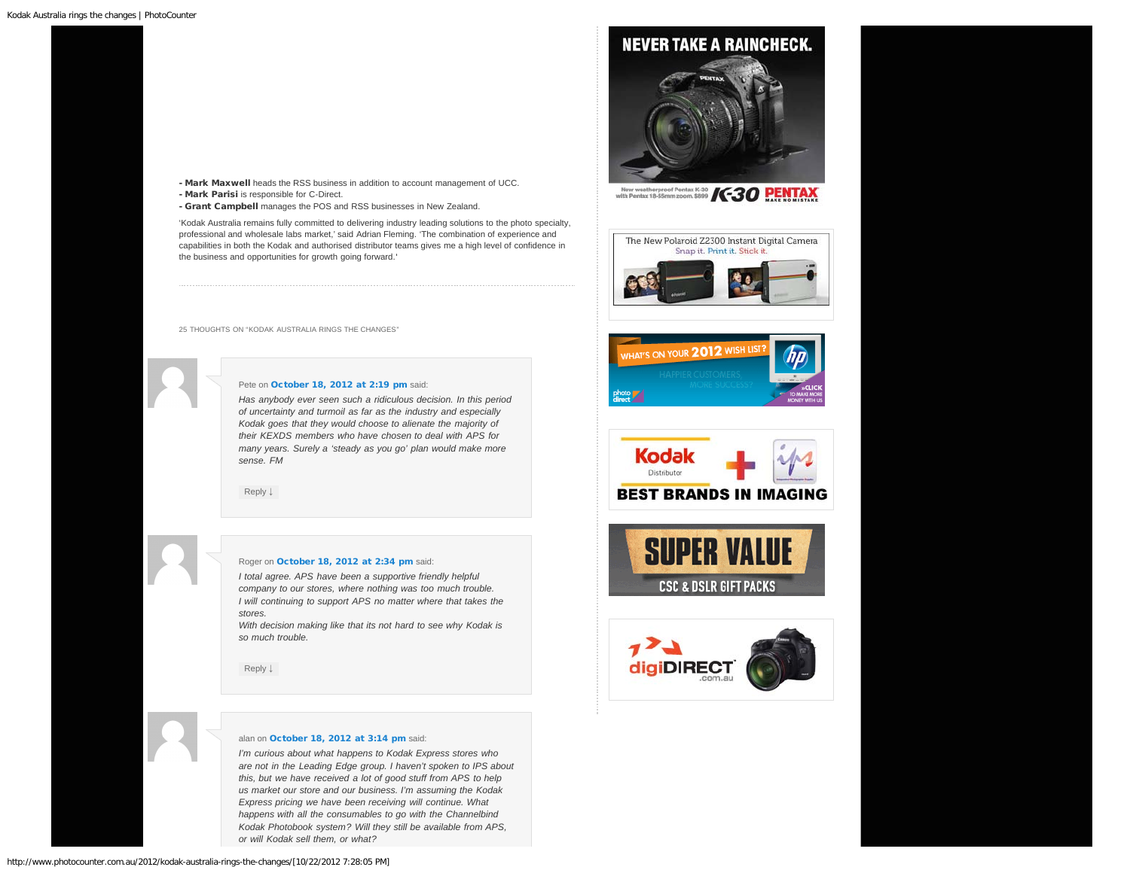# **NEVER TAKE A RAINCHECK.**



New weatherproof Pentax K-30 **/C-30 PENTAX** 













- Mark Parisi is responsible for C-Direct.
- Grant Campbell manages the POS and RSS businesses in New Zealand.

'Kodak Australia remains fully committed to delivering industry leading solutions to the photo specialty, professional and wholesale labs market,' said Adrian Fleming. 'The combination of experience and capabilities in both the Kodak and authorised distributor teams gives me a high level of confidence in the business and opportunities for growth going forward.'

<span id="page-1-0"></span>25 THOUGHTS ON "KODAK AUSTRALIA RINGS THE CHANGES"

# Pete on [October 18, 2012 at 2:19 pm](#page-1-0) said:

*Has anybody ever seen such a ridiculous decision. In this period of uncertainty and turmoil as far as the industry and especially Kodak goes that they would choose to alienate the majority of their KEXDS members who have chosen to deal with APS for many years. Surely a 'steady as you go' plan would make more sense. FM*

[Reply](http://www.photocounter.com.au/2012/kodak-australia-rings-the-changes/?replytocom=3130#respond) [↓](http://www.photocounter.com.au/2012/kodak-australia-rings-the-changes/?replytocom=3130#respond)

# Roger on [October 18, 2012 at 2:34 pm](#page-1-1) said:

<span id="page-1-1"></span>*I total agree. APS have been a supportive friendly helpful company to our stores, where nothing was too much trouble. I will continuing to support APS no matter where that takes the stores.*

*With decision making like that its not hard to see why Kodak is so much trouble.*

[Reply](http://www.photocounter.com.au/2012/kodak-australia-rings-the-changes/?replytocom=3131#respond) [↓](http://www.photocounter.com.au/2012/kodak-australia-rings-the-changes/?replytocom=3131#respond)

# alan on [October 18, 2012 at 3:14 pm](#page-2-0) said:

*I'm curious about what happens to Kodak Express stores who are not in the Leading Edge group. I haven't spoken to IPS about this, but we have received a lot of good stuff from APS to help us market our store and our business. I'm assuming the Kodak Express pricing we have been receiving will continue. What happens with all the consumables to go with the Channelbind Kodak Photobook system? Will they still be available from APS, or will Kodak sell them, or what?*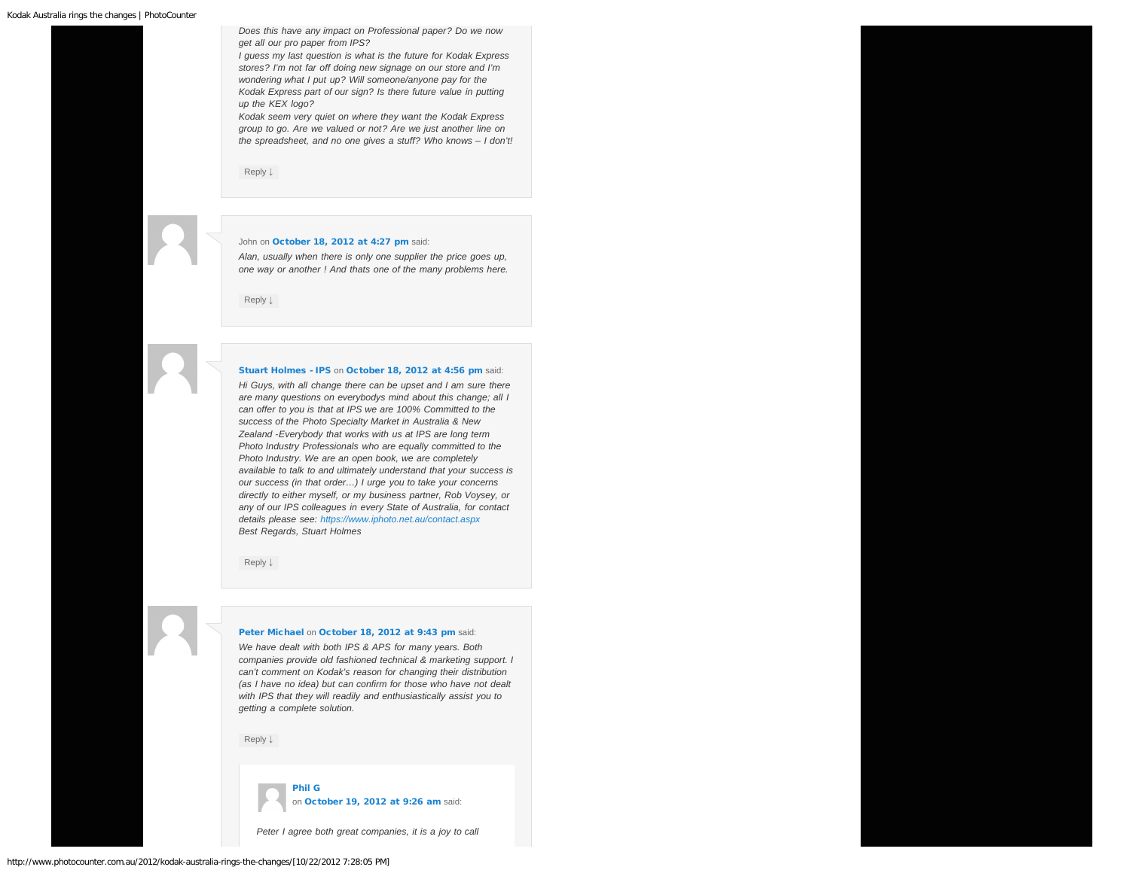<span id="page-2-0"></span>*Does this have any impact on Professional paper? Do we now get all our pro paper from IPS?*

*I guess my last question is what is the future for Kodak Express stores? I'm not far off doing new signage on our store and I'm wondering what I put up? Will someone/anyone pay for the Kodak Express part of our sign? Is there future value in putting up the KEX logo?*

*Kodak seem very quiet on where they want the Kodak Express group to go. Are we valued or not? Are we just another line on the spreadsheet, and no one gives a stuff? Who knows – I don't!*

[Reply](http://www.photocounter.com.au/2012/kodak-australia-rings-the-changes/?replytocom=3132#respond) [↓](http://www.photocounter.com.au/2012/kodak-australia-rings-the-changes/?replytocom=3132#respond)

#### <span id="page-2-1"></span>John on [October 18, 2012 at 4:27 pm](#page-2-1) said:

*Alan, usually when there is only one supplier the price goes up, one way or another ! And thats one of the many problems here.*

[Reply](http://www.photocounter.com.au/2012/kodak-australia-rings-the-changes/?replytocom=3134#respond) [↓](http://www.photocounter.com.au/2012/kodak-australia-rings-the-changes/?replytocom=3134#respond)

#### [Stuart Holmes - IPS](http://www.iphoto.net.au/) on [October 18, 2012 at 4:56 pm](#page-2-2) said:

<span id="page-2-2"></span>*Hi Guys, with all change there can be upset and I am sure there are many questions on everybodys mind about this change; all I can offer to you is that at IPS we are 100% Committed to the success of the Photo Specialty Market in Australia & New Zealand -Everybody that works with us at IPS are long term Photo Industry Professionals who are equally committed to the Photo Industry. We are an open book, we are completely available to talk to and ultimately understand that your success is our success (in that order…) I urge you to take your concerns directly to either myself, or my business partner, Rob Voysey, or any of our IPS colleagues in every State of Australia, for contact details please see: <https://www.iphoto.net.au/contact.aspx> Best Regards, Stuart Holmes*

[Reply](http://www.photocounter.com.au/2012/kodak-australia-rings-the-changes/?replytocom=3135#respond) [↓](http://www.photocounter.com.au/2012/kodak-australia-rings-the-changes/?replytocom=3135#respond)

#### [Peter Michael](http://www.michaels.com.au/) on [October 18, 2012 at 9:43 pm](#page-2-3) said:

<span id="page-2-3"></span>*We have dealt with both IPS & APS for many years. Both companies provide old fashioned technical & marketing support. I can't comment on Kodak's reason for changing their distribution (as I have no idea) but can confirm for those who have not dealt with IPS that they will readily and enthusiastically assist you to getting a complete solution.*

[Reply](http://www.photocounter.com.au/2012/kodak-australia-rings-the-changes/?replytocom=3144#respond) [↓](http://www.photocounter.com.au/2012/kodak-australia-rings-the-changes/?replytocom=3144#respond)



*Peter I agree both great companies, it is a joy to call*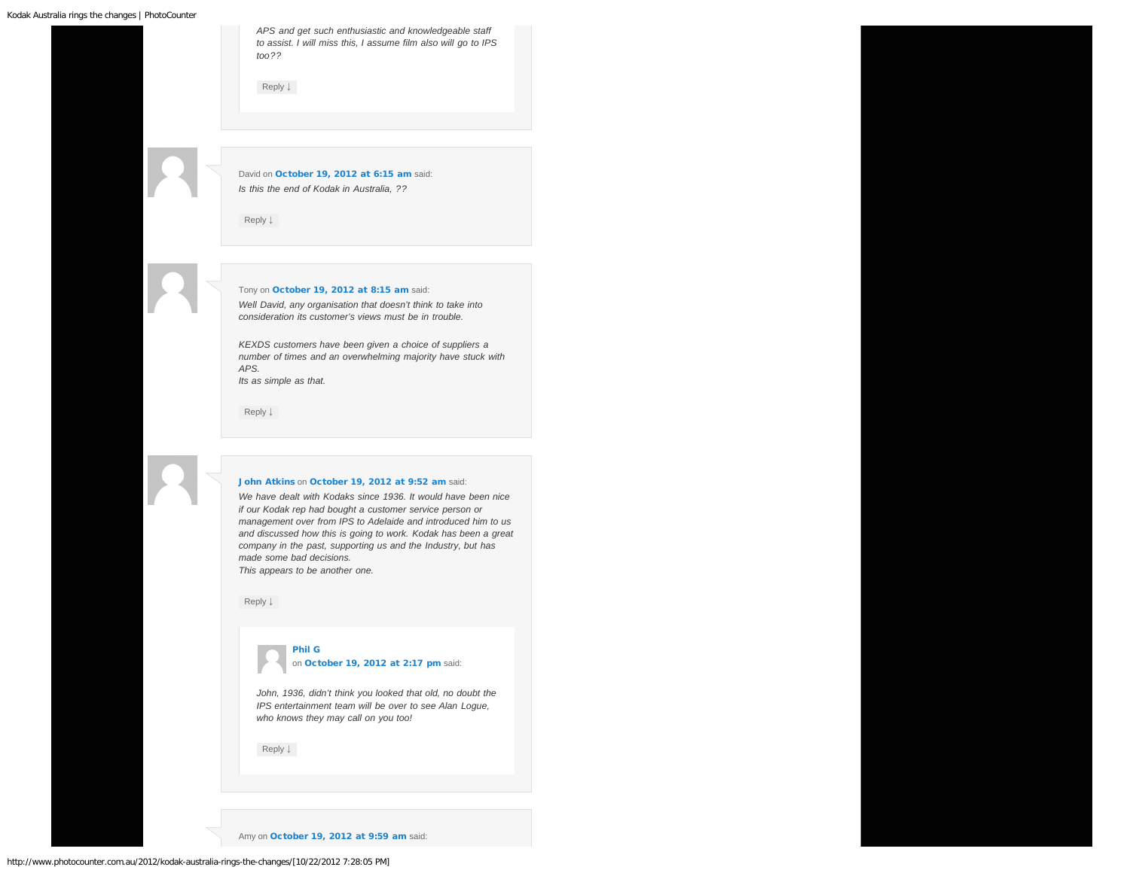<span id="page-3-0"></span>*APS and get such enthusiastic and knowledgeable staff to assist. I will miss this, I assume film also will go to IPS too??*

[Reply](http://www.photocounter.com.au/2012/kodak-australia-rings-the-changes/?replytocom=3151#respond) [↓](http://www.photocounter.com.au/2012/kodak-australia-rings-the-changes/?replytocom=3151#respond)

<span id="page-3-1"></span>David on [October 19, 2012 at 6:15 am](#page-3-1) said: *Is this the end of Kodak in Australia, ??*

[Reply](http://www.photocounter.com.au/2012/kodak-australia-rings-the-changes/?replytocom=3148#respond) [↓](http://www.photocounter.com.au/2012/kodak-australia-rings-the-changes/?replytocom=3148#respond)

<span id="page-3-2"></span>Tony on [October 19, 2012 at 8:15 am](#page-3-2) said: *Well David, any organisation that doesn't think to take into consideration its customer's views must be in trouble.*

*KEXDS customers have been given a choice of suppliers a number of times and an overwhelming majority have stuck with APS. Its as simple as that.*

[Reply](http://www.photocounter.com.au/2012/kodak-australia-rings-the-changes/?replytocom=3150#respond) [↓](http://www.photocounter.com.au/2012/kodak-australia-rings-the-changes/?replytocom=3150#respond)

#### [John Atkins](http://atkins.com.au/) on [October 19, 2012 at 9:52 am](#page-3-3) said:

<span id="page-3-3"></span>*We have dealt with Kodaks since 1936. It would have been nice if our Kodak rep had bought a customer service person or management over from IPS to Adelaide and introduced him to us and discussed how this is going to work. Kodak has been a great company in the past, supporting us and the Industry, but has made some bad decisions.*

*This appears to be another one.*

<span id="page-3-4"></span>[Reply](http://www.photocounter.com.au/2012/kodak-australia-rings-the-changes/?replytocom=3152#respond) [↓](http://www.photocounter.com.au/2012/kodak-australia-rings-the-changes/?replytocom=3152#respond)



*John, 1936, didn't think you looked that old, no doubt the IPS entertainment team will be over to see Alan Logue, who knows they may call on you too!*

[Reply](http://www.photocounter.com.au/2012/kodak-australia-rings-the-changes/?replytocom=3162#respond) [↓](http://www.photocounter.com.au/2012/kodak-australia-rings-the-changes/?replytocom=3162#respond)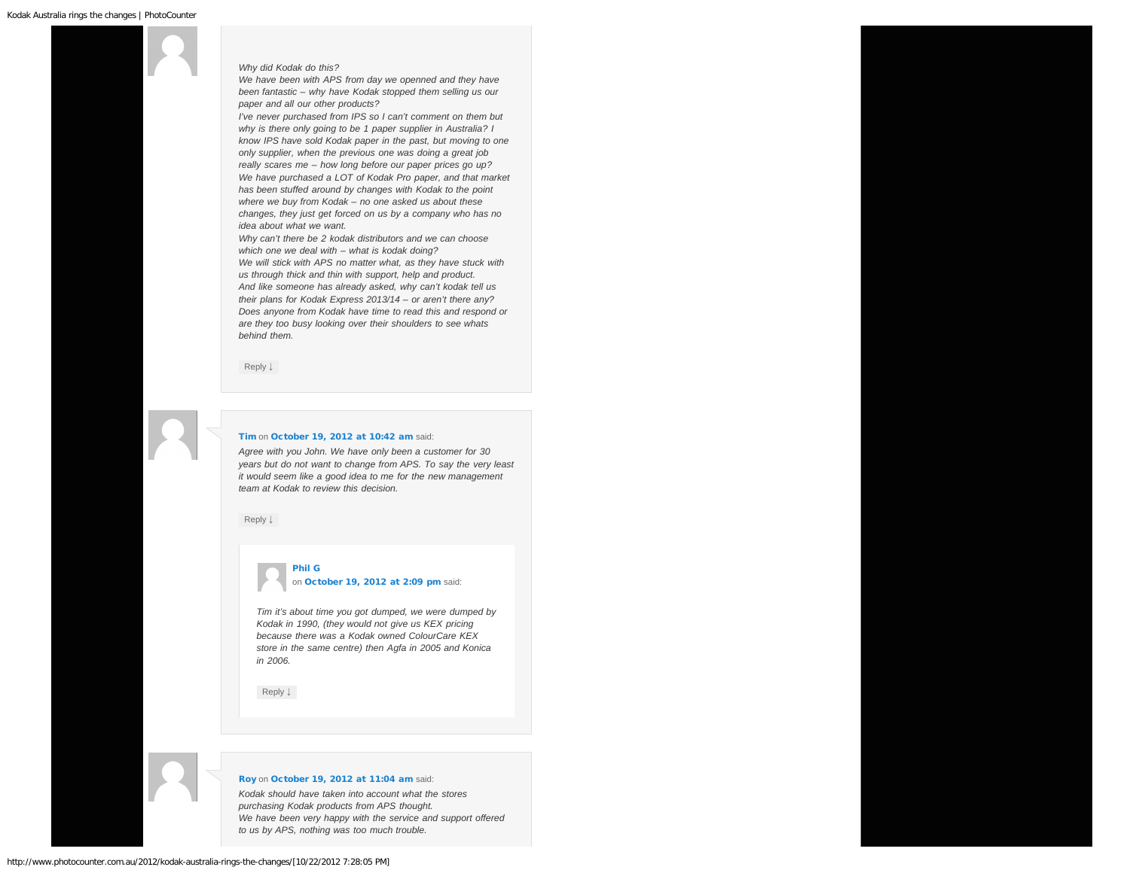## <span id="page-4-0"></span>*Why did Kodak do this?*

*We have been with APS from day we openned and they have been fantastic – why have Kodak stopped them selling us our paper and all our other products?*

*I've never purchased from IPS so I can't comment on them but why is there only going to be 1 paper supplier in Australia? I know IPS have sold Kodak paper in the past, but moving to one only supplier, when the previous one was doing a great job really scares me – how long before our paper prices go up? We have purchased a LOT of Kodak Pro paper, and that market has been stuffed around by changes with Kodak to the point where we buy from Kodak – no one asked us about these changes, they just get forced on us by a company who has no idea about what we want.*

*Why can't there be 2 kodak distributors and we can choose which one we deal with – what is kodak doing? We will stick with APS no matter what, as they have stuck with us through thick and thin with support, help and product. And like someone has already asked, why can't kodak tell us their plans for Kodak Express 2013/14 – or aren't there any? Does anyone from Kodak have time to read this and respond or are they too busy looking over their shoulders to see whats behind them.*

[Reply](http://www.photocounter.com.au/2012/kodak-australia-rings-the-changes/?replytocom=3153#respond) [↓](http://www.photocounter.com.au/2012/kodak-australia-rings-the-changes/?replytocom=3153#respond)

### <span id="page-4-1"></span>[Tim](http://perfectprints.com.au/) on [October 19, 2012 at 10:42 am](#page-4-1) said:

*Agree with you John. We have only been a customer for 30 years but do not want to change from APS. To say the very least it would seem like a good idea to me for the new management team at Kodak to review this decision.*

<span id="page-4-2"></span>[Reply](http://www.photocounter.com.au/2012/kodak-australia-rings-the-changes/?replytocom=3155#respond) [↓](http://www.photocounter.com.au/2012/kodak-australia-rings-the-changes/?replytocom=3155#respond)

# [Phil G](http://fotofast.com.au/) on [October 19, 2012 at 2:09 pm](#page-4-2) said:

*Tim it's about time you got dumped, we were dumped by Kodak in 1990, (they would not give us KEX pricing because there was a Kodak owned ColourCare KEX store in the same centre) then Agfa in 2005 and Konica in 2006.*

[Reply](http://www.photocounter.com.au/2012/kodak-australia-rings-the-changes/?replytocom=3160#respond) [↓](http://www.photocounter.com.au/2012/kodak-australia-rings-the-changes/?replytocom=3160#respond)

## [Roy](http://./) on [October 19, 2012 at 11:04 am](#page-5-0) said:

*Kodak should have taken into account what the stores purchasing Kodak products from APS thought. We have been very happy with the service and support offered to us by APS, nothing was too much trouble.*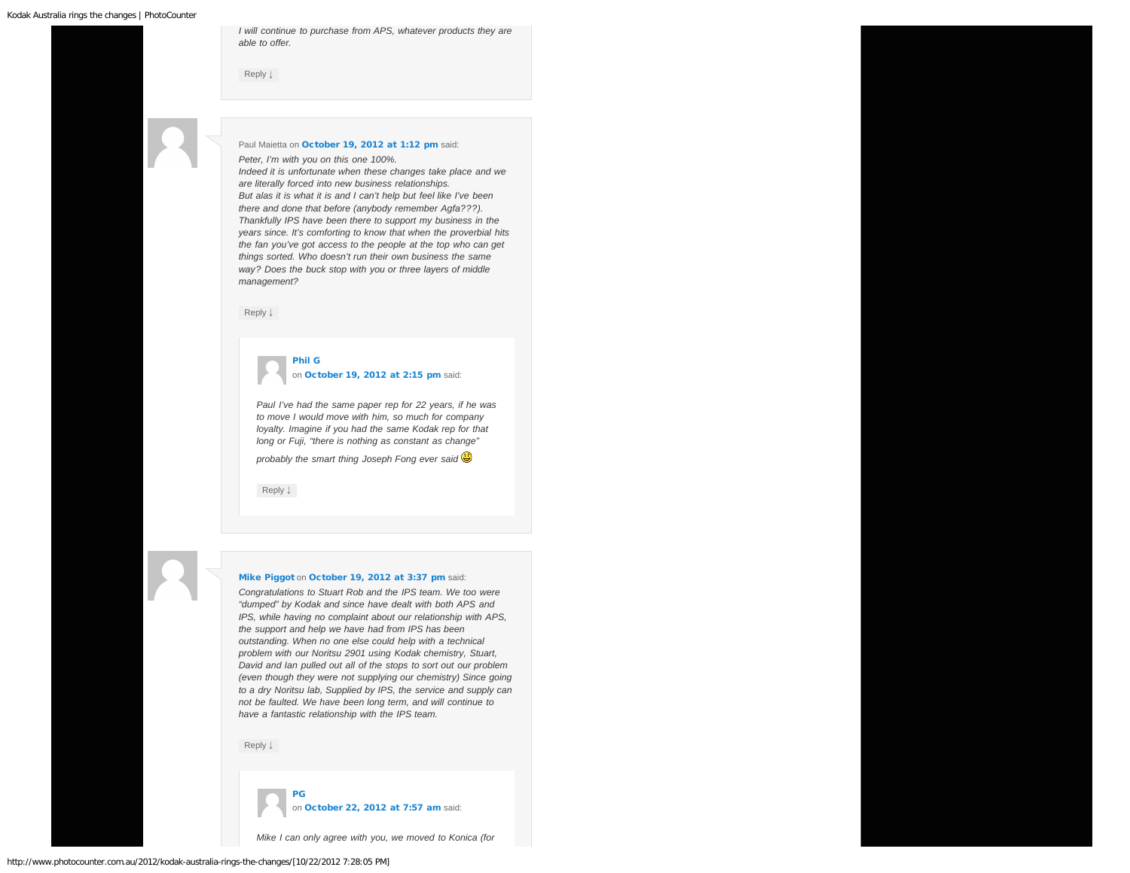<span id="page-5-0"></span>*I will continue to purchase from APS, whatever products they are able to offer.*

[Reply](http://www.photocounter.com.au/2012/kodak-australia-rings-the-changes/?replytocom=3157#respond) [↓](http://www.photocounter.com.au/2012/kodak-australia-rings-the-changes/?replytocom=3157#respond)

# <span id="page-5-1"></span>Paul Maietta on [October 19, 2012 at 1:12 pm](#page-5-1) said:

*Peter, I'm with you on this one 100%.*

*Indeed it is unfortunate when these changes take place and we are literally forced into new business relationships. But alas it is what it is and I can't help but feel like I've been there and done that before (anybody remember Agfa???). Thankfully IPS have been there to support my business in the years since. It's comforting to know that when the proverbial hits the fan you've got access to the people at the top who can get things sorted. Who doesn't run their own business the same way? Does the buck stop with you or three layers of middle management?*

<span id="page-5-2"></span>[Reply](http://www.photocounter.com.au/2012/kodak-australia-rings-the-changes/?replytocom=3158#respond) [↓](http://www.photocounter.com.au/2012/kodak-australia-rings-the-changes/?replytocom=3158#respond)

# [Phil G](http://fotofast.com.au/)

on [October 19, 2012 at 2:15 pm](#page-5-2) said:

*Paul I've had the same paper rep for 22 years, if he was to move I would move with him, so much for company loyalty. Imagine if you had the same Kodak rep for that long or Fuji, "there is nothing as constant as change"*

*probably the smart thing Joseph Fong ever said* 

[Reply](http://www.photocounter.com.au/2012/kodak-australia-rings-the-changes/?replytocom=3161#respond) [↓](http://www.photocounter.com.au/2012/kodak-australia-rings-the-changes/?replytocom=3161#respond)

#### <span id="page-5-3"></span>[Mike Piggot](http://northpointphotos.com.au/) on [October 19, 2012 at 3:37 pm](#page-5-3) said:

*Congratulations to Stuart Rob and the IPS team. We too were "dumped" by Kodak and since have dealt with both APS and IPS, while having no complaint about our relationship with APS, the support and help we have had from IPS has been outstanding. When no one else could help with a technical problem with our Noritsu 2901 using Kodak chemistry, Stuart, David and Ian pulled out all of the stops to sort out our problem (even though they were not supplying our chemistry) Since going to a dry Noritsu lab, Supplied by IPS, the service and supply can not be faulted. We have been long term, and will continue to have a fantastic relationship with the IPS team.*

[Reply](http://www.photocounter.com.au/2012/kodak-australia-rings-the-changes/?replytocom=3164#respond) [↓](http://www.photocounter.com.au/2012/kodak-australia-rings-the-changes/?replytocom=3164#respond)

[PG](http://www.fotofast.com.au/)

on [October 22, 2012 at 7:57 am](#page-6-0) said:

*Mike I can only agree with you, we moved to Konica (for*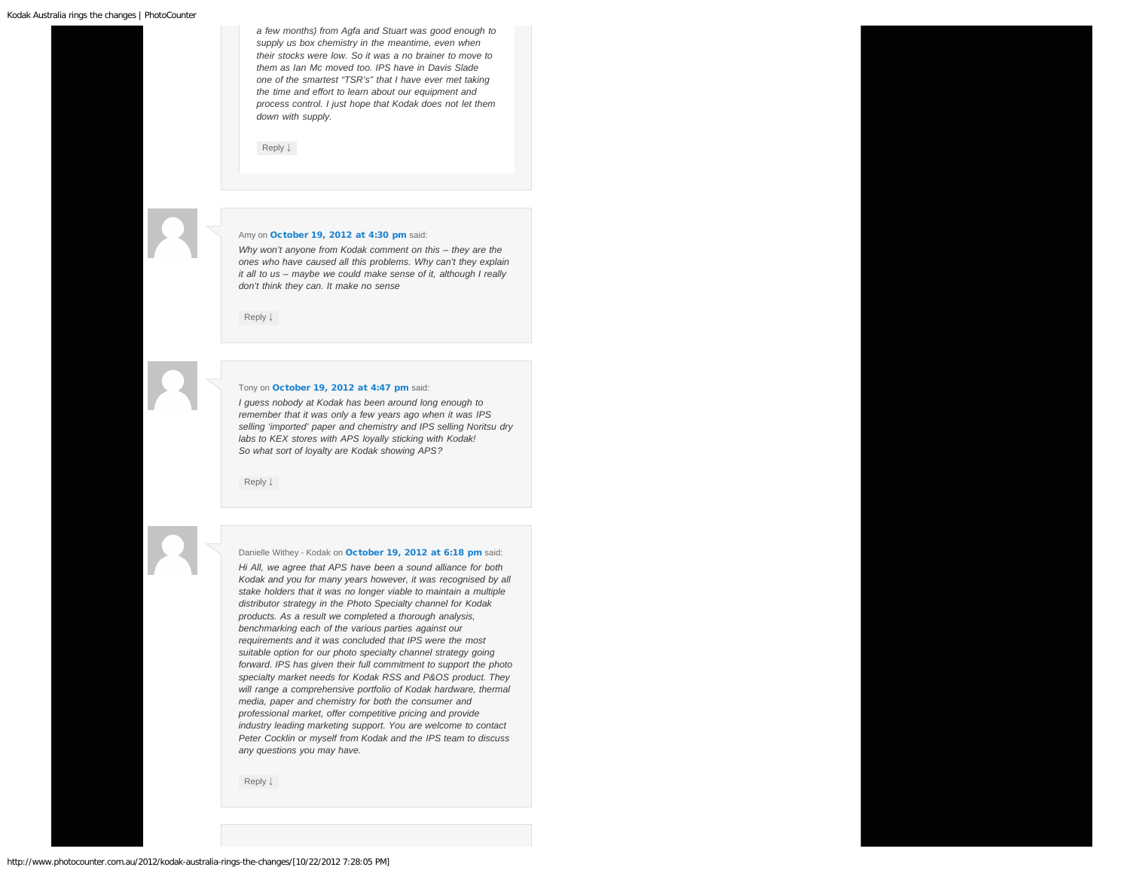<span id="page-6-0"></span>*a few months) from Agfa and Stuart was good enough to supply us box chemistry in the meantime, even when their stocks were low. So it was a no brainer to move to them as Ian Mc moved too. IPS have in Davis Slade one of the smartest "TSR's" that I have ever met taking the time and effort to learn about our equipment and process control. I just hope that Kodak does not let them down with supply.*

[Reply](http://www.photocounter.com.au/2012/kodak-australia-rings-the-changes/?replytocom=3221#respond) [↓](http://www.photocounter.com.au/2012/kodak-australia-rings-the-changes/?replytocom=3221#respond)

#### <span id="page-6-1"></span>Amy on [October 19, 2012 at 4:30 pm](#page-6-1) said:

*Why won't anyone from Kodak comment on this – they are the ones who have caused all this problems. Why can't they explain it all to us – maybe we could make sense of it, although I really don't think they can. It make no sense*

[Reply](http://www.photocounter.com.au/2012/kodak-australia-rings-the-changes/?replytocom=3166#respond) [↓](http://www.photocounter.com.au/2012/kodak-australia-rings-the-changes/?replytocom=3166#respond)

### <span id="page-6-2"></span>Tony on [October 19, 2012 at 4:47 pm](#page-6-2) said:

*I guess nobody at Kodak has been around long enough to remember that it was only a few years ago when it was IPS selling 'imported' paper and chemistry and IPS selling Noritsu dry labs to KEX stores with APS loyally sticking with Kodak! So what sort of loyalty are Kodak showing APS?*

[Reply](http://www.photocounter.com.au/2012/kodak-australia-rings-the-changes/?replytocom=3168#respond) [↓](http://www.photocounter.com.au/2012/kodak-australia-rings-the-changes/?replytocom=3168#respond)

<span id="page-6-3"></span>Danielle Withey - Kodak on [October 19, 2012 at 6:18 pm](#page-6-3) said:

*Hi All, we agree that APS have been a sound alliance for both Kodak and you for many years however, it was recognised by all stake holders that it was no longer viable to maintain a multiple distributor strategy in the Photo Specialty channel for Kodak products. As a result we completed a thorough analysis, benchmarking each of the various parties against our requirements and it was concluded that IPS were the most suitable option for our photo specialty channel strategy going forward. IPS has given their full commitment to support the photo specialty market needs for Kodak RSS and P&OS product. They will range a comprehensive portfolio of Kodak hardware, thermal media, paper and chemistry for both the consumer and professional market, offer competitive pricing and provide industry leading marketing support. You are welcome to contact Peter Cocklin or myself from Kodak and the IPS team to discuss any questions you may have.*

[Reply](http://www.photocounter.com.au/2012/kodak-australia-rings-the-changes/?replytocom=3171#respond) [↓](http://www.photocounter.com.au/2012/kodak-australia-rings-the-changes/?replytocom=3171#respond)